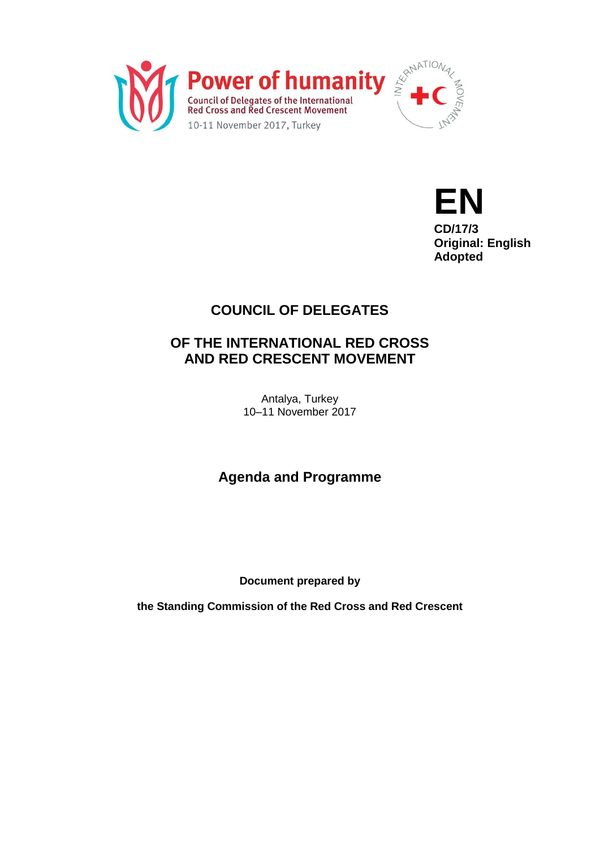



**CD/17/3 Original: English Adopted**

# **COUNCIL OF DELEGATES**

# **OF THE INTERNATIONAL RED CROSS AND RED CRESCENT MOVEMENT**

Antalya, Turkey 10–11 November 2017

**Agenda and Programme**

**Document prepared by**

**the Standing Commission of the Red Cross and Red Crescent**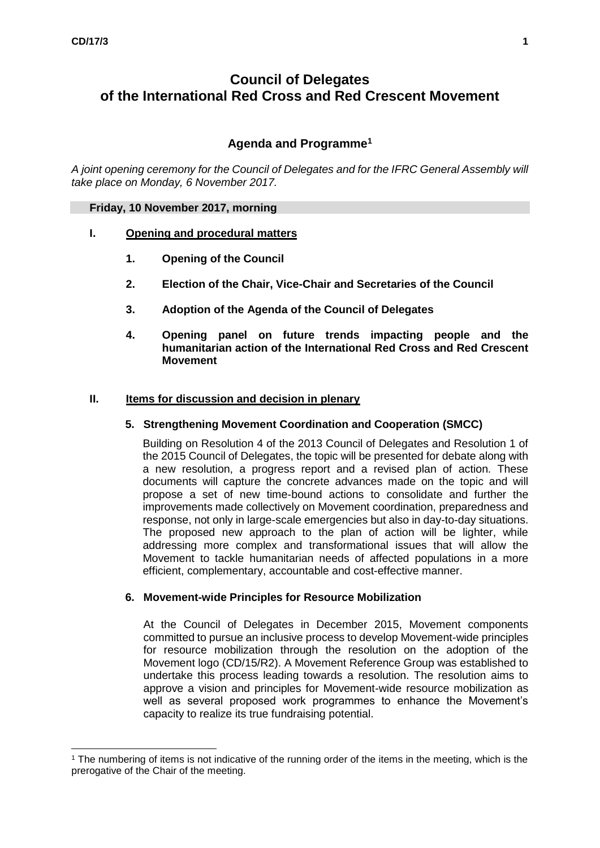$\overline{a}$ 

# **Council of Delegates of the International Red Cross and Red Crescent Movement**

# **Agenda and Programme<sup>1</sup>**

*A joint opening ceremony for the Council of Delegates and for the IFRC General Assembly will take place on Monday, 6 November 2017.*

### **Friday, 10 November 2017, morning**

## **I. Opening and procedural matters**

- **1. Opening of the Council**
- **2. Election of the Chair, Vice-Chair and Secretaries of the Council**
- **3. Adoption of the Agenda of the Council of Delegates**
- **4. Opening panel on future trends impacting people and the humanitarian action of the International Red Cross and Red Crescent Movement**

### **II. Items for discussion and decision in plenary**

## **5. Strengthening Movement Coordination and Cooperation (SMCC)**

Building on Resolution 4 of the 2013 Council of Delegates and Resolution 1 of the 2015 Council of Delegates, the topic will be presented for debate along with a new resolution, a progress report and a revised plan of action. These documents will capture the concrete advances made on the topic and will propose a set of new time-bound actions to consolidate and further the improvements made collectively on Movement coordination, preparedness and response, not only in large-scale emergencies but also in day-to-day situations. The proposed new approach to the plan of action will be lighter, while addressing more complex and transformational issues that will allow the Movement to tackle humanitarian needs of affected populations in a more efficient, complementary, accountable and cost-effective manner.

### **6. Movement-wide Principles for Resource Mobilization**

At the Council of Delegates in December 2015, Movement components committed to pursue an inclusive process to develop Movement-wide principles for resource mobilization through the resolution on the adoption of the Movement logo (CD/15/R2). A Movement Reference Group was established to undertake this process leading towards a resolution. The resolution aims to approve a vision and principles for Movement-wide resource mobilization as well as several proposed work programmes to enhance the Movement's capacity to realize its true fundraising potential.

<sup>1</sup> The numbering of items is not indicative of the running order of the items in the meeting, which is the prerogative of the Chair of the meeting.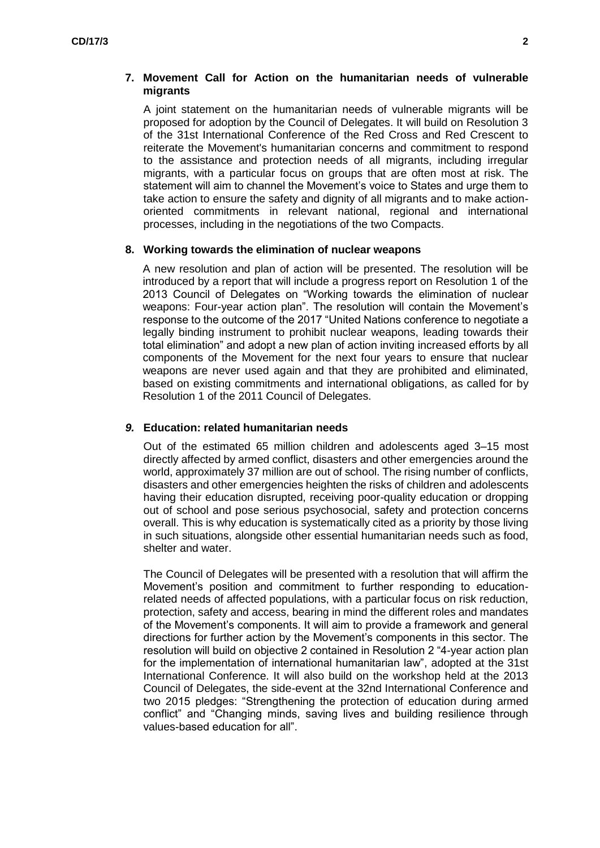## **7. Movement Call for Action on the humanitarian needs of vulnerable migrants**

A joint statement on the humanitarian needs of vulnerable migrants will be proposed for adoption by the Council of Delegates. It will build on Resolution 3 of the 31st International Conference of the Red Cross and Red Crescent to reiterate the Movement's humanitarian concerns and commitment to respond to the assistance and protection needs of all migrants, including irregular migrants, with a particular focus on groups that are often most at risk. The statement will aim to channel the Movement's voice to States and urge them to take action to ensure the safety and dignity of all migrants and to make actionoriented commitments in relevant national, regional and international processes, including in the negotiations of the two Compacts.

### **8. Working towards the elimination of nuclear weapons**

A new resolution and plan of action will be presented. The resolution will be introduced by a report that will include a progress report on Resolution 1 of the 2013 Council of Delegates on "Working towards the elimination of nuclear weapons: Four-year action plan". The resolution will contain the Movement's response to the outcome of the 2017 "United Nations conference to negotiate a legally binding instrument to prohibit nuclear weapons, leading towards their total elimination" and adopt a new plan of action inviting increased efforts by all components of the Movement for the next four years to ensure that nuclear weapons are never used again and that they are prohibited and eliminated, based on existing commitments and international obligations, as called for by Resolution 1 of the 2011 Council of Delegates.

### *9.* **Education: related humanitarian needs**

Out of the estimated 65 million children and adolescents aged 3–15 most directly affected by armed conflict, disasters and other emergencies around the world, approximately 37 million are out of school. The rising number of conflicts, disasters and other emergencies heighten the risks of children and adolescents having their education disrupted, receiving poor-quality education or dropping out of school and pose serious psychosocial, safety and protection concerns overall. This is why education is systematically cited as a priority by those living in such situations, alongside other essential humanitarian needs such as food, shelter and water.

The Council of Delegates will be presented with a resolution that will affirm the Movement's position and commitment to further responding to educationrelated needs of affected populations, with a particular focus on risk reduction, protection, safety and access, bearing in mind the different roles and mandates of the Movement's components. It will aim to provide a framework and general directions for further action by the Movement's components in this sector. The resolution will build on objective 2 contained in Resolution 2 "4-year action plan for the implementation of international humanitarian law", adopted at the 31st International Conference. It will also build on the workshop held at the 2013 Council of Delegates, the side-event at the 32nd International Conference and two 2015 pledges: "Strengthening the protection of education during armed conflict" and "Changing minds, saving lives and building resilience through values-based education for all".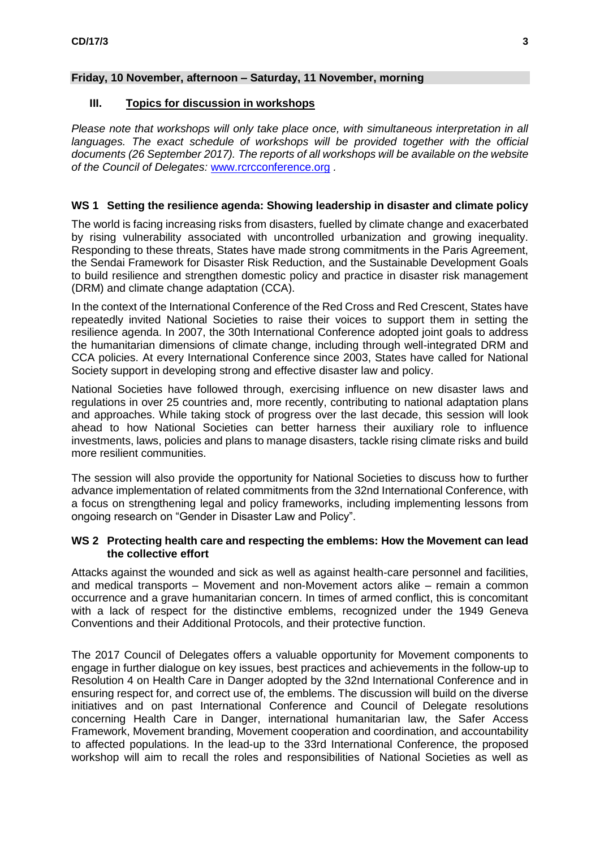## **Friday, 10 November, afternoon – Saturday, 11 November, morning**

## **III. Topics for discussion in workshops**

*Please note that workshops will only take place once, with simultaneous interpretation in all*  languages. The exact schedule of workshops will be provided together with the official *documents (26 September 2017). The reports of all workshops will be available on the website of the Council of Delegates:* [www.rcrcconference.org](http://www.rcrcconference.org/) *.*

# **WS 1 Setting the resilience agenda: Showing leadership in disaster and climate policy**

The world is facing increasing risks from disasters, fuelled by climate change and exacerbated by rising vulnerability associated with uncontrolled urbanization and growing inequality. Responding to these threats, States have made strong commitments in the Paris Agreement, the Sendai Framework for Disaster Risk Reduction, and the Sustainable Development Goals to build resilience and strengthen domestic policy and practice in disaster risk management (DRM) and climate change adaptation (CCA).

In the context of the International Conference of the Red Cross and Red Crescent, States have repeatedly invited National Societies to raise their voices to support them in setting the resilience agenda. In 2007, the 30th International Conference adopted joint goals to address the humanitarian dimensions of climate change, including through well-integrated DRM and CCA policies. At every International Conference since 2003, States have called for National Society support in developing strong and effective disaster law and policy.

National Societies have followed through, exercising influence on new disaster laws and regulations in over 25 countries and, more recently, contributing to national adaptation plans and approaches. While taking stock of progress over the last decade, this session will look ahead to how National Societies can better harness their auxiliary role to influence investments, laws, policies and plans to manage disasters, tackle rising climate risks and build more resilient communities.

The session will also provide the opportunity for National Societies to discuss how to further advance implementation of related commitments from the 32nd International Conference, with a focus on strengthening legal and policy frameworks, including implementing lessons from ongoing research on "Gender in Disaster Law and Policy".

## **WS 2 Protecting health care and respecting the emblems: How the Movement can lead the collective effort**

Attacks against the wounded and sick as well as against health-care personnel and facilities, and medical transports – Movement and non-Movement actors alike – remain a common occurrence and a grave humanitarian concern. In times of armed conflict, this is concomitant with a lack of respect for the distinctive emblems, recognized under the 1949 Geneva Conventions and their Additional Protocols, and their protective function.

The 2017 Council of Delegates offers a valuable opportunity for Movement components to engage in further dialogue on key issues, best practices and achievements in the follow-up to Resolution 4 on Health Care in Danger adopted by the 32nd International Conference and in ensuring respect for, and correct use of, the emblems. The discussion will build on the diverse initiatives and on past International Conference and Council of Delegate resolutions concerning Health Care in Danger, international humanitarian law, the Safer Access Framework, Movement branding, Movement cooperation and coordination, and accountability to affected populations. In the lead-up to the 33rd International Conference, the proposed workshop will aim to recall the roles and responsibilities of National Societies as well as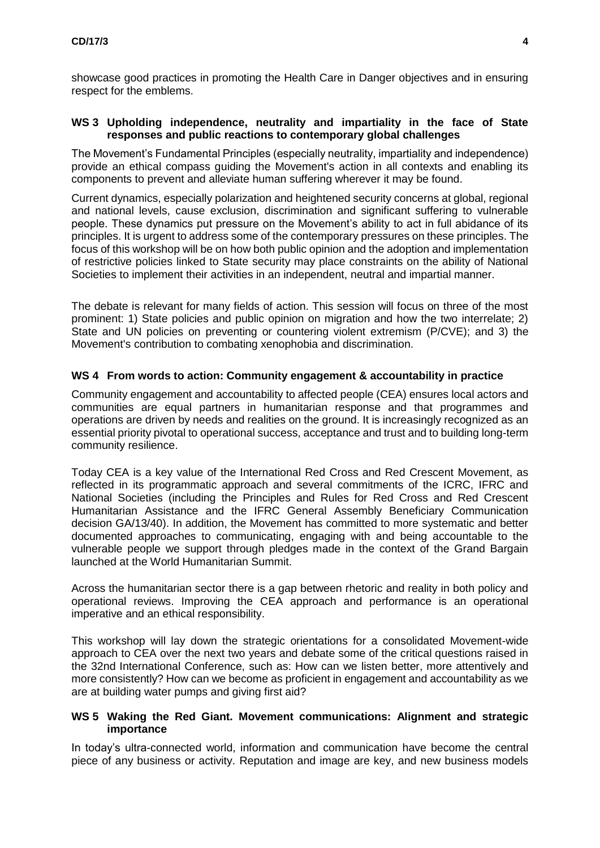showcase good practices in promoting the Health Care in Danger objectives and in ensuring respect for the emblems.

## **WS 3 Upholding independence, neutrality and impartiality in the face of State responses and public reactions to contemporary global challenges**

The Movement's Fundamental Principles (especially neutrality, impartiality and independence) provide an ethical compass guiding the Movement's action in all contexts and enabling its components to prevent and alleviate human suffering wherever it may be found.

Current dynamics, especially polarization and heightened security concerns at global, regional and national levels, cause exclusion, discrimination and significant suffering to vulnerable people. These dynamics put pressure on the Movement's ability to act in full abidance of its principles. It is urgent to address some of the contemporary pressures on these principles. The focus of this workshop will be on how both public opinion and the adoption and implementation of restrictive policies linked to State security may place constraints on the ability of National Societies to implement their activities in an independent, neutral and impartial manner.

The debate is relevant for many fields of action. This session will focus on three of the most prominent: 1) State policies and public opinion on migration and how the two interrelate; 2) State and UN policies on preventing or countering violent extremism (P/CVE); and 3) the Movement's contribution to combating xenophobia and discrimination.

## **WS 4 From words to action: Community engagement & accountability in practice**

Community engagement and accountability to affected people (CEA) ensures local actors and communities are equal partners in humanitarian response and that programmes and operations are driven by needs and realities on the ground. It is increasingly recognized as an essential priority pivotal to operational success, acceptance and trust and to building long-term community resilience.

Today CEA is a key value of the International Red Cross and Red Crescent Movement, as reflected in its programmatic approach and several commitments of the ICRC, IFRC and National Societies (including the Principles and Rules for Red Cross and Red Crescent Humanitarian Assistance and the IFRC General Assembly Beneficiary Communication decision GA/13/40). In addition, the Movement has committed to more systematic and better documented approaches to communicating, engaging with and being accountable to the vulnerable people we support through pledges made in the context of the Grand Bargain launched at the World Humanitarian Summit.

Across the humanitarian sector there is a gap between rhetoric and reality in both policy and operational reviews. Improving the CEA approach and performance is an operational imperative and an ethical responsibility.

This workshop will lay down the strategic orientations for a consolidated Movement-wide approach to CEA over the next two years and debate some of the critical questions raised in the 32nd International Conference, such as: How can we listen better, more attentively and more consistently? How can we become as proficient in engagement and accountability as we are at building water pumps and giving first aid?

### **WS 5 Waking the Red Giant. Movement communications: Alignment and strategic importance**

In today's ultra-connected world, information and communication have become the central piece of any business or activity. Reputation and image are key, and new business models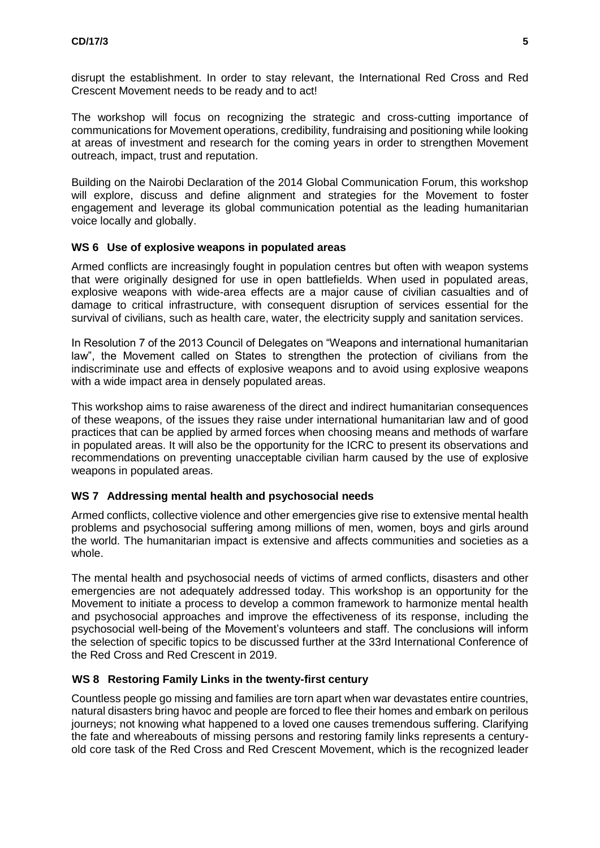disrupt the establishment. In order to stay relevant, the International Red Cross and Red Crescent Movement needs to be ready and to act!

The workshop will focus on recognizing the strategic and cross-cutting importance of communications for Movement operations, credibility, fundraising and positioning while looking at areas of investment and research for the coming years in order to strengthen Movement outreach, impact, trust and reputation.

Building on the Nairobi Declaration of the 2014 Global Communication Forum, this workshop will explore, discuss and define alignment and strategies for the Movement to foster engagement and leverage its global communication potential as the leading humanitarian voice locally and globally.

## **WS 6 Use of explosive weapons in populated areas**

Armed conflicts are increasingly fought in population centres but often with weapon systems that were originally designed for use in open battlefields. When used in populated areas, explosive weapons with wide-area effects are a major cause of civilian casualties and of damage to critical infrastructure, with consequent disruption of services essential for the survival of civilians, such as health care, water, the electricity supply and sanitation services.

In Resolution 7 of the 2013 Council of Delegates on "Weapons and international humanitarian law", the Movement called on States to strengthen the protection of civilians from the indiscriminate use and effects of explosive weapons and to avoid using explosive weapons with a wide impact area in densely populated areas.

This workshop aims to raise awareness of the direct and indirect humanitarian consequences of these weapons, of the issues they raise under international humanitarian law and of good practices that can be applied by armed forces when choosing means and methods of warfare in populated areas. It will also be the opportunity for the ICRC to present its observations and recommendations on preventing unacceptable civilian harm caused by the use of explosive weapons in populated areas.

# **WS 7 Addressing mental health and psychosocial needs**

Armed conflicts, collective violence and other emergencies give rise to extensive mental health problems and psychosocial suffering among millions of men, women, boys and girls around the world. The humanitarian impact is extensive and affects communities and societies as a whole.

The mental health and psychosocial needs of victims of armed conflicts, disasters and other emergencies are not adequately addressed today. This workshop is an opportunity for the Movement to initiate a process to develop a common framework to harmonize mental health and psychosocial approaches and improve the effectiveness of its response, including the psychosocial well-being of the Movement's volunteers and staff. The conclusions will inform the selection of specific topics to be discussed further at the 33rd International Conference of the Red Cross and Red Crescent in 2019.

# **WS 8 Restoring Family Links in the twenty-first century**

Countless people go missing and families are torn apart when war devastates entire countries, natural disasters bring havoc and people are forced to flee their homes and embark on perilous journeys; not knowing what happened to a loved one causes tremendous suffering. Clarifying the fate and whereabouts of missing persons and restoring family links represents a centuryold core task of the Red Cross and Red Crescent Movement, which is the recognized leader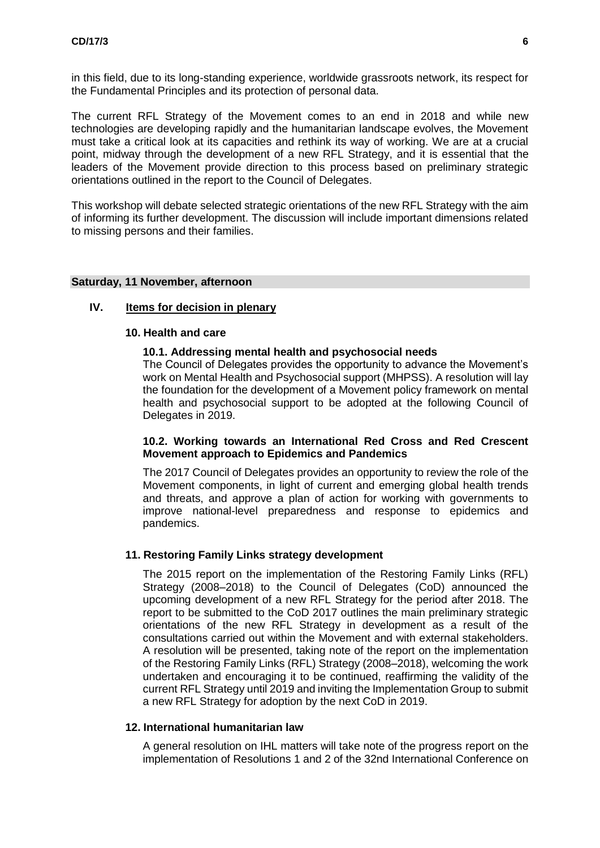in this field, due to its long-standing experience, worldwide grassroots network, its respect for the Fundamental Principles and its protection of personal data.

The current RFL Strategy of the Movement comes to an end in 2018 and while new technologies are developing rapidly and the humanitarian landscape evolves, the Movement must take a critical look at its capacities and rethink its way of working. We are at a crucial point, midway through the development of a new RFL Strategy, and it is essential that the leaders of the Movement provide direction to this process based on preliminary strategic orientations outlined in the report to the Council of Delegates.

This workshop will debate selected strategic orientations of the new RFL Strategy with the aim of informing its further development. The discussion will include important dimensions related to missing persons and their families.

### **Saturday, 11 November, afternoon**

## **IV. Items for decision in plenary**

#### **10. Health and care**

### **10.1. Addressing mental health and psychosocial needs**

The Council of Delegates provides the opportunity to advance the Movement's work on Mental Health and Psychosocial support (MHPSS). A resolution will lay the foundation for the development of a Movement policy framework on mental health and psychosocial support to be adopted at the following Council of Delegates in 2019.

### **10.2. Working towards an International Red Cross and Red Crescent Movement approach to Epidemics and Pandemics**

The 2017 Council of Delegates provides an opportunity to review the role of the Movement components, in light of current and emerging global health trends and threats, and approve a plan of action for working with governments to improve national-level preparedness and response to epidemics and pandemics.

### **11. Restoring Family Links strategy development**

The 2015 report on the implementation of the Restoring Family Links (RFL) Strategy (2008–2018) to the Council of Delegates (CoD) announced the upcoming development of a new RFL Strategy for the period after 2018. The report to be submitted to the CoD 2017 outlines the main preliminary strategic orientations of the new RFL Strategy in development as a result of the consultations carried out within the Movement and with external stakeholders. A resolution will be presented, taking note of the report on the implementation of the Restoring Family Links (RFL) Strategy (2008–2018), welcoming the work undertaken and encouraging it to be continued, reaffirming the validity of the current RFL Strategy until 2019 and inviting the Implementation Group to submit a new RFL Strategy for adoption by the next CoD in 2019.

## **12. International humanitarian law**

A general resolution on IHL matters will take note of the progress report on the implementation of Resolutions 1 and 2 of the 32nd International Conference on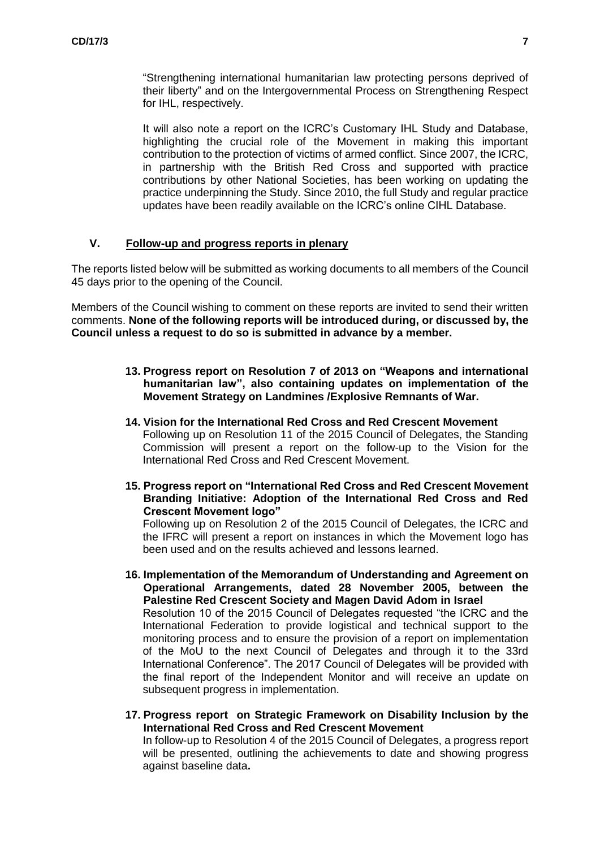"Strengthening international humanitarian law protecting persons deprived of their liberty" and on the Intergovernmental Process on Strengthening Respect for IHL, respectively.

It will also note a report on the ICRC's Customary IHL Study and Database, highlighting the crucial role of the Movement in making this important contribution to the protection of victims of armed conflict. Since 2007, the ICRC, in partnership with the British Red Cross and supported with practice contributions by other National Societies, has been working on updating the practice underpinning the Study. Since 2010, the full Study and regular practice updates have been readily available on the ICRC's online CIHL Database.

## **V. Follow-up and progress reports in plenary**

The reports listed below will be submitted as working documents to all members of the Council 45 days prior to the opening of the Council.

Members of the Council wishing to comment on these reports are invited to send their written comments. **None of the following reports will be introduced during, or discussed by, the Council unless a request to do so is submitted in advance by a member.**

- **13. Progress report on Resolution 7 of 2013 on "Weapons and international humanitarian law", also containing updates on implementation of the Movement Strategy on Landmines /Explosive Remnants of War.**
- **14. Vision for the International Red Cross and Red Crescent Movement** Following up on Resolution 11 of the 2015 Council of Delegates, the Standing Commission will present a report on the follow-up to the Vision for the International Red Cross and Red Crescent Movement.
- **15. Progress report on "International Red Cross and Red Crescent Movement Branding Initiative: Adoption of the International Red Cross and Red Crescent Movement logo"**

Following up on Resolution 2 of the 2015 Council of Delegates, the ICRC and the IFRC will present a report on instances in which the Movement logo has been used and on the results achieved and lessons learned.

- **16. Implementation of the Memorandum of Understanding and Agreement on Operational Arrangements, dated 28 November 2005, between the Palestine Red Crescent Society and Magen David Adom in Israel** Resolution 10 of the 2015 Council of Delegates requested "the ICRC and the International Federation to provide logistical and technical support to the monitoring process and to ensure the provision of a report on implementation of the MoU to the next Council of Delegates and through it to the 33rd International Conference". The 2017 Council of Delegates will be provided with the final report of the Independent Monitor and will receive an update on subsequent progress in implementation.
- **17. Progress report on Strategic Framework on Disability Inclusion by the International Red Cross and Red Crescent Movement**

In follow-up to Resolution 4 of the 2015 Council of Delegates, a progress report will be presented, outlining the achievements to date and showing progress against baseline data**.**